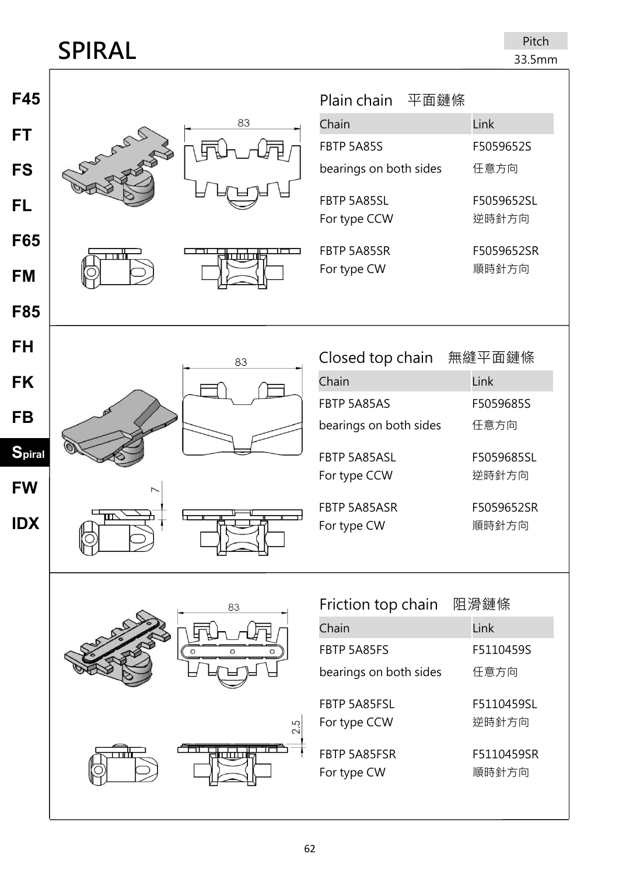## **SPIRAL**

| F45<br>FT<br><b>FS</b><br><b>FL</b><br>F65<br><b>FM</b> | Secretary of             | 83<br>10 L | Plain chain<br>平面鏈條<br>Chain<br>FBTP 5A85S<br>bearings on both sides<br>FBTP 5A85SL<br>For type CCW<br>FBTP 5A85SR<br>For type CW | Link<br>F5059652S<br>任意方向<br>F5059652SL<br>逆時針方向<br>F5059652SR<br>順時針方向 |
|---------------------------------------------------------|--------------------------|------------|-----------------------------------------------------------------------------------------------------------------------------------|-------------------------------------------------------------------------|
| <b>F85</b>                                              |                          |            |                                                                                                                                   |                                                                         |
| <b>FH</b>                                               |                          | 83         | Closed top chain                                                                                                                  | 無縫平面鏈條                                                                  |
| <b>FK</b>                                               |                          |            | Chain                                                                                                                             | Link                                                                    |
|                                                         |                          |            | FBTP 5A85AS                                                                                                                       | F5059685S                                                               |
|                                                         |                          |            |                                                                                                                                   |                                                                         |
| <b>FB</b>                                               |                          |            | bearings on both sides                                                                                                            | 任意方向                                                                    |
| Spiral                                                  |                          |            | FBTP 5A85ASL                                                                                                                      | F5059685SL                                                              |
|                                                         | $\overline{\phantom{0}}$ |            | For type CCW                                                                                                                      | 逆時針方向                                                                   |
| <b>FW</b><br><b>IDX</b>                                 |                          |            | FBTP 5A85ASR                                                                                                                      | F5059652SR<br>順時針方向                                                     |
|                                                         |                          |            | For type CW                                                                                                                       |                                                                         |
|                                                         |                          |            |                                                                                                                                   |                                                                         |
|                                                         |                          | 83         | Friction top chain<br>Chain                                                                                                       | 阻滑鏈條<br>Link                                                            |

2.5 ┌┼┬┼┬

| Friction top chain 阻滑鏈條 |            |  |
|-------------------------|------------|--|
| Chain                   | Link       |  |
| FBTP 5A85FS             | F5110459S  |  |
| bearings on both sides  | 仟意方向       |  |
| FRTP 5A85FSL            | F5110459SL |  |
| For type CCW            | 逆時針方向      |  |
| <b>FBTP 5A85FSR</b>     | F5110459SR |  |
| For type CW             | 順時針方向      |  |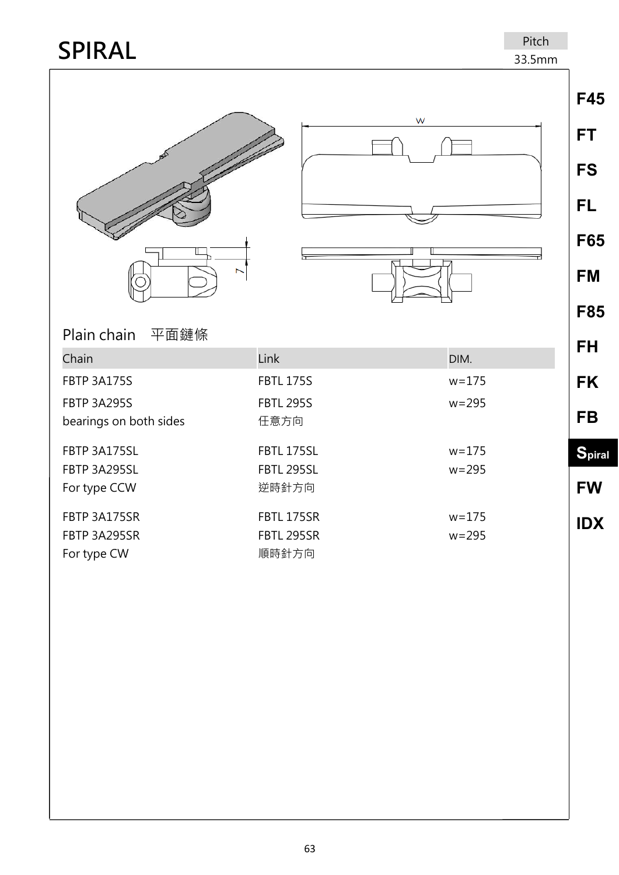## **SPIRAL**





Plain chain 平面鏈條

| Chain                  | Link              | DIM.      |
|------------------------|-------------------|-----------|
| <b>FBTP 3A175S</b>     | <b>FBTL 175S</b>  | $w = 175$ |
| <b>FBTP 3A295S</b>     | <b>FBTL 295S</b>  | $w = 295$ |
| bearings on both sides | 任意方向              |           |
| FBTP 3A175SL           | FBTL 175SL        | $w = 175$ |
| FBTP 3A295SL           | <b>FBTL 295SL</b> | $w = 295$ |
| For type CCW           | 逆時針方向             |           |
| FBTP 3A175SR           | FBTL 175SR        | $w = 175$ |
| FBTP 3A295SR           | <b>FBTL 295SR</b> | $w = 295$ |
| For type CW            | 順時針方向             |           |

**F45**